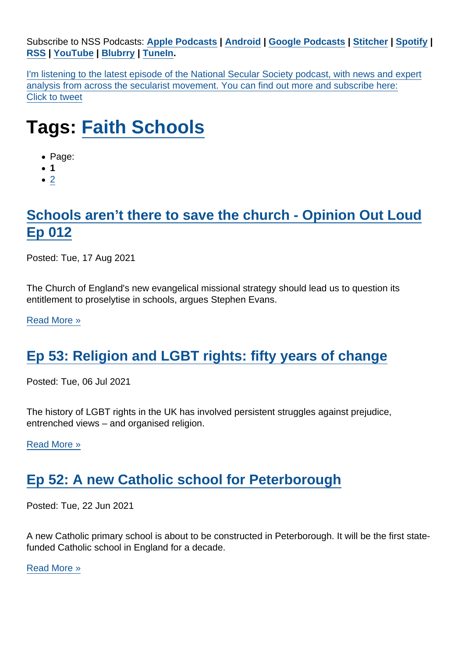Subscribe to NSS Podcasts: [Apple Podcasts](https://itunes.apple.com/gb/podcast/national-secular-society-podcast/id1452493582?mt=2) | [Android](https://subscribeonandroid.com/secularism.blubrry.net/feed/podcast/) | [Google Podcasts](https://www.google.com/podcasts?feed=aHR0cHM6Ly9zZWN1bGFyaXNtLmJsdWJycnkubmV0L2ZlZWQvcG9kY2FzdC8) | [Stitcher](https://www.stitcher.com/podcast/national-secular-society-podcast) | [Spotify](https://open.spotify.com/show/4YUdgznRhQwCtJRRLwbeXU) | [RSS](https://secularism.blubrry.net/feed/podcast/) | [YouTube](http://bit.ly/2TFGMDO) | [Blubrry](https://www.blubrry.com/secularism/) | [TuneIn](https://tunein.com/podcasts/News--Politics-Podcasts/National-Secular-Society-Podcast-p1188177/).

I'm listening to the latest episode of the National Secular Society podcast, with news and expert analysis from across the secularist movement. You can find out more and subscribe here: Click to tweet

## Tags: [Faith Schools](https://www.secularism.org.uk/podcast/tags/Faith+Schools)

- Page:
- 1
- $\bullet$  [2](/mnt/web-data/www/cp-nss/podcast/tags/Faith+Schools)

## [Schools aren't there to save the church - Opinion Out Loud](https://www.secularism.org.uk/opinion/2021/07/schools-arent-there-to-save-the-church) [Ep 012](https://www.secularism.org.uk/opinion/2021/07/schools-arent-there-to-save-the-church)

Posted: Tue, 17 Aug 2021

The Church of England's new evangelical missional strategy should lead us to question its entitlement to proselytise in schools, argues Stephen Evans.

[Read More »](https://www.secularism.org.uk/opinion/2021/07/schools-arent-there-to-save-the-church)

## [Ep 53: Religion and LGBT rights: fifty years of change](https://www.secularism.org.uk/podcast/2021/07/ep-53)

Posted: Tue, 06 Jul 2021

The history of LGBT rights in the UK has involved persistent struggles against prejudice, entrenched views – and organised religion.

[Read More »](https://www.secularism.org.uk/podcast/2021/07/ep-53)

## [Ep 52: A new Catholic school for Peterborough](https://www.secularism.org.uk/podcast/2021/06/ep-52)

Posted: Tue, 22 Jun 2021

A new Catholic primary school is about to be constructed in Peterborough. It will be the first statefunded Catholic school in England for a decade.

[Read More »](https://www.secularism.org.uk/podcast/2021/06/ep-52)